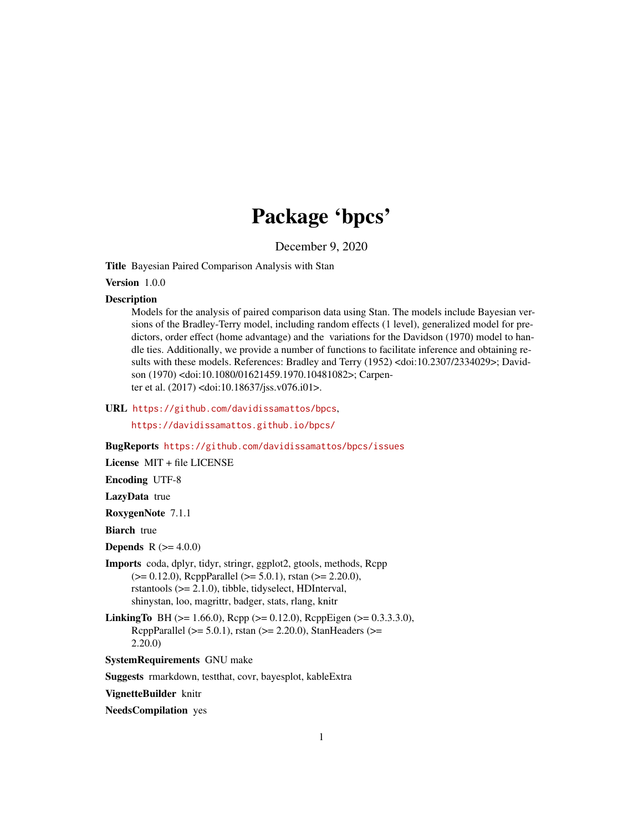# Package 'bpcs'

December 9, 2020

Title Bayesian Paired Comparison Analysis with Stan

Version 1.0.0

#### **Description**

Models for the analysis of paired comparison data using Stan. The models include Bayesian versions of the Bradley-Terry model, including random effects (1 level), generalized model for predictors, order effect (home advantage) and the variations for the Davidson (1970) model to handle ties. Additionally, we provide a number of functions to facilitate inference and obtaining results with these models. References: Bradley and Terry (1952) <doi:10.2307/2334029>; Davidson (1970) <doi:10.1080/01621459.1970.10481082>; Carpenter et al. (2017) <doi:10.18637/jss.v076.i01>.

URL <https://github.com/davidissamattos/bpcs>,

<https://davidissamattos.github.io/bpcs/>

#### BugReports <https://github.com/davidissamattos/bpcs/issues>

License MIT + file LICENSE

Encoding UTF-8

LazyData true

RoxygenNote 7.1.1

**Biarch** true

**Depends** R  $(>= 4.0.0)$ 

- Imports coda, dplyr, tidyr, stringr, ggplot2, gtools, methods, Rcpp (>= 0.12.0), RcppParallel (>= 5.0.1), rstan (>= 2.20.0), rstantools (>= 2.1.0), tibble, tidyselect, HDInterval, shinystan, loo, magrittr, badger, stats, rlang, knitr
- **LinkingTo** BH ( $>= 1.66.0$ ), Rcpp ( $>= 0.12.0$ ), RcppEigen ( $>= 0.3.3.3.0$ ), RcppParallel ( $>= 5.0.1$ ), rstan ( $>= 2.20.0$ ), StanHeaders ( $>=$ 2.20.0)

SystemRequirements GNU make

Suggests rmarkdown, testthat, covr, bayesplot, kableExtra

VignetteBuilder knitr

NeedsCompilation yes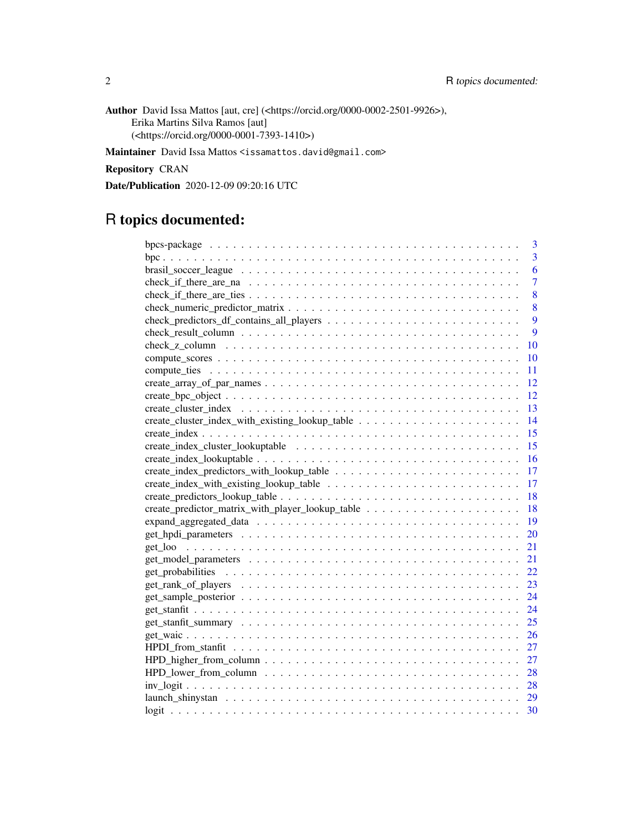Author David Issa Mattos [aut, cre] (<https://orcid.org/0000-0002-2501-9926>), Erika Martins Silva Ramos [aut] (<https://orcid.org/0000-0001-7393-1410>)

Maintainer David Issa Mattos <issamattos.david@gmail.com>

Repository CRAN

Date/Publication 2020-12-09 09:20:16 UTC

# R topics documented:

| 3                                                                                                                       |
|-------------------------------------------------------------------------------------------------------------------------|
| 3                                                                                                                       |
| 6                                                                                                                       |
| 7                                                                                                                       |
| 8                                                                                                                       |
| 8                                                                                                                       |
| 9                                                                                                                       |
| 9                                                                                                                       |
| 10                                                                                                                      |
| 10                                                                                                                      |
| 11                                                                                                                      |
| 12                                                                                                                      |
| 12                                                                                                                      |
| 13                                                                                                                      |
| 14                                                                                                                      |
| 15                                                                                                                      |
| 15                                                                                                                      |
| 16                                                                                                                      |
| 17                                                                                                                      |
| 17                                                                                                                      |
| 18                                                                                                                      |
| 18                                                                                                                      |
| 19                                                                                                                      |
| 20                                                                                                                      |
| 21                                                                                                                      |
| 21                                                                                                                      |
| 22                                                                                                                      |
| 23                                                                                                                      |
| 24                                                                                                                      |
| 24                                                                                                                      |
| 25                                                                                                                      |
| 26                                                                                                                      |
| 27                                                                                                                      |
| $HPD_{\text{higher\_from\_column}} \dots \dots \dots \dots \dots \dots \dots \dots \dots \dots \dots \dots \dots$<br>27 |
| 28                                                                                                                      |
| 28                                                                                                                      |
| launch shinystan $\ldots \ldots \ldots \ldots \ldots \ldots \ldots \ldots \ldots \ldots \ldots \ldots \ldots$<br>29     |
| 30                                                                                                                      |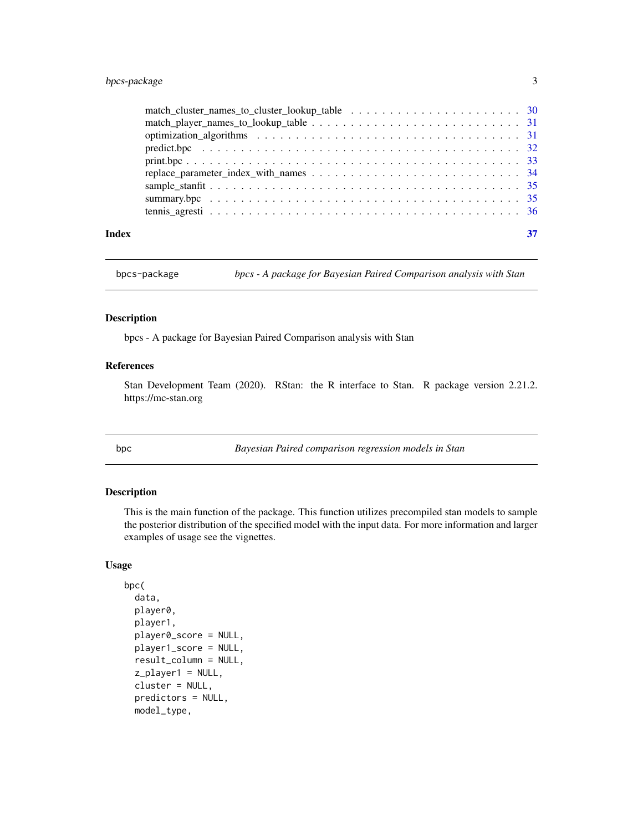# <span id="page-2-0"></span>bpcs-package 3

| Index |  |
|-------|--|

bpcs-package *bpcs - A package for Bayesian Paired Comparison analysis with Stan*

# Description

bpcs - A package for Bayesian Paired Comparison analysis with Stan

# References

Stan Development Team (2020). RStan: the R interface to Stan. R package version 2.21.2. https://mc-stan.org

bpc *Bayesian Paired comparison regression models in Stan*

# Description

This is the main function of the package. This function utilizes precompiled stan models to sample the posterior distribution of the specified model with the input data. For more information and larger examples of usage see the vignettes.

# Usage

```
bpc(
  data,
  player0,
  player1,
 player0_score = NULL,
 player1_score = NULL,
  result_column = NULL,
  z_player1 = NULL,
  cluster = NULL,
  predictors = NULL,
  model_type,
```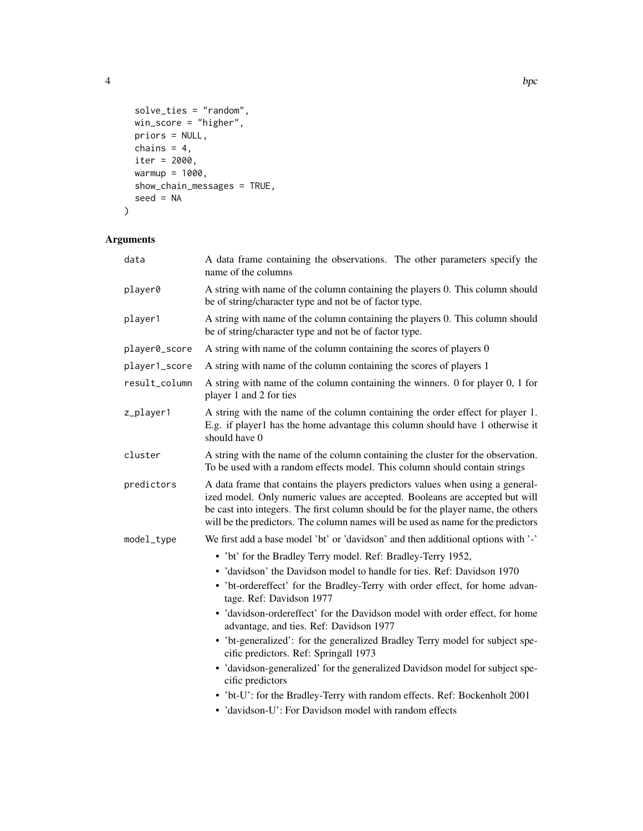4 bpc set of the state of the state of the state of the state of the state of the state of the state of the state of the state of the state of the state of the state of the state of the state of the state of the state of t

```
solve_ties = "random",
 win_score = "higher",
 priors = NULL,
 chains = 4,
 iter = 2000,warmup = 1000,
 show_chain_messages = TRUE,
 seed = NA
\mathcal{L}
```
# Arguments

| data          | A data frame containing the observations. The other parameters specify the<br>name of the columns                                                                                                                                                                                                                                       |  |
|---------------|-----------------------------------------------------------------------------------------------------------------------------------------------------------------------------------------------------------------------------------------------------------------------------------------------------------------------------------------|--|
| player0       | A string with name of the column containing the players 0. This column should<br>be of string/character type and not be of factor type.                                                                                                                                                                                                 |  |
| player1       | A string with name of the column containing the players 0. This column should<br>be of string/character type and not be of factor type.                                                                                                                                                                                                 |  |
| player0_score | A string with name of the column containing the scores of players 0                                                                                                                                                                                                                                                                     |  |
| player1_score | A string with name of the column containing the scores of players 1                                                                                                                                                                                                                                                                     |  |
| result_column | A string with name of the column containing the winners. 0 for player 0, 1 for<br>player 1 and 2 for ties                                                                                                                                                                                                                               |  |
| z_player1     | A string with the name of the column containing the order effect for player 1.<br>E.g. if player1 has the home advantage this column should have 1 otherwise it<br>should have 0                                                                                                                                                        |  |
| cluster       | A string with the name of the column containing the cluster for the observation.<br>To be used with a random effects model. This column should contain strings                                                                                                                                                                          |  |
| predictors    | A data frame that contains the players predictors values when using a general-<br>ized model. Only numeric values are accepted. Booleans are accepted but will<br>be cast into integers. The first column should be for the player name, the others<br>will be the predictors. The column names will be used as name for the predictors |  |
| model_type    | We first add a base model 'bt' or 'davidson' and then additional options with '-'                                                                                                                                                                                                                                                       |  |
|               | • 'bt' for the Bradley Terry model. Ref: Bradley-Terry 1952,                                                                                                                                                                                                                                                                            |  |
|               | · 'davidson' the Davidson model to handle for ties. Ref: Davidson 1970                                                                                                                                                                                                                                                                  |  |
|               | • 'bt-ordereffect' for the Bradley-Terry with order effect, for home advan-<br>tage. Ref: Davidson 1977                                                                                                                                                                                                                                 |  |
|               | · 'davidson-ordereffect' for the Davidson model with order effect, for home<br>advantage, and ties. Ref: Davidson 1977                                                                                                                                                                                                                  |  |
|               | • 'bt-generalized': for the generalized Bradley Terry model for subject spe-<br>cific predictors. Ref: Springall 1973                                                                                                                                                                                                                   |  |
|               | • 'davidson-generalized' for the generalized Davidson model for subject spe-<br>cific predictors                                                                                                                                                                                                                                        |  |
|               | • 'bt-U': for the Bradley-Terry with random effects. Ref: Bockenholt 2001                                                                                                                                                                                                                                                               |  |
|               | · 'davidson-U': For Davidson model with random effects                                                                                                                                                                                                                                                                                  |  |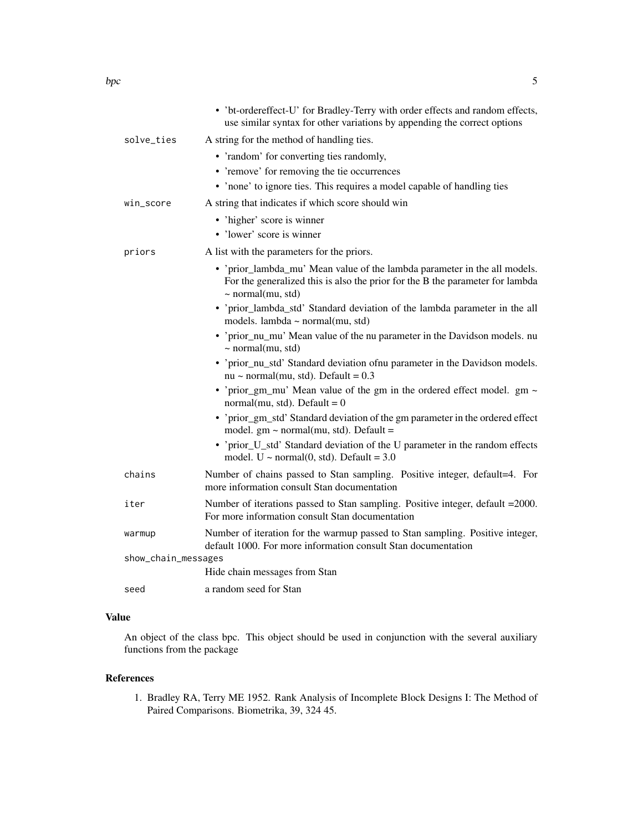|                     | • 'bt-ordereffect-U' for Bradley-Terry with order effects and random effects,<br>use similar syntax for other variations by appending the correct options                            |
|---------------------|--------------------------------------------------------------------------------------------------------------------------------------------------------------------------------------|
| solve_ties          | A string for the method of handling ties.                                                                                                                                            |
|                     | • 'random' for converting ties randomly,<br>• 'remove' for removing the tie occurrences<br>• 'none' to ignore ties. This requires a model capable of handling ties                   |
| win_score           | A string that indicates if which score should win                                                                                                                                    |
|                     | • 'higher' score is winner<br>• 'lower' score is winner                                                                                                                              |
| priors              | A list with the parameters for the priors.                                                                                                                                           |
|                     | • 'prior_lambda_mu' Mean value of the lambda parameter in the all models.<br>For the generalized this is also the prior for the B the parameter for lambda<br>$\sim$ normal(mu, std) |
|                     | • 'prior_lambda_std' Standard deviation of the lambda parameter in the all<br>models. lambda ~ normal $(mu, std)$                                                                    |
|                     | • 'prior_nu_mu' Mean value of the nu parameter in the Davidson models. nu<br>$\sim$ normal(mu, std)                                                                                  |
|                     | • 'prior_nu_std' Standard deviation ofnu parameter in the Davidson models.<br>nu ~ normal(mu, std). Default = $0.3$                                                                  |
|                     | • 'prior_gm_mu' Mean value of the gm in the ordered effect model. $gm \sim$<br>normal(mu, std). Default = $0$                                                                        |
|                     | • 'prior_gm_std' Standard deviation of the gm parameter in the ordered effect<br>model. $gm \sim normal(mu, std)$ . Default =                                                        |
|                     | • 'prior_U_std' Standard deviation of the U parameter in the random effects<br>model. U ~ normal $(0, std)$ . Default = 3.0                                                          |
| chains              | Number of chains passed to Stan sampling. Positive integer, default=4. For<br>more information consult Stan documentation                                                            |
| iter                | Number of iterations passed to Stan sampling. Positive integer, default = 2000.<br>For more information consult Stan documentation                                                   |
| warmup              | Number of iteration for the warmup passed to Stan sampling. Positive integer,<br>default 1000. For more information consult Stan documentation                                       |
| show_chain_messages |                                                                                                                                                                                      |
|                     | Hide chain messages from Stan                                                                                                                                                        |
| seed                | a random seed for Stan                                                                                                                                                               |

# Value

An object of the class bpc. This object should be used in conjunction with the several auxiliary functions from the package

#### References

1. Bradley RA, Terry ME 1952. Rank Analysis of Incomplete Block Designs I: The Method of Paired Comparisons. Biometrika, 39, 324 45.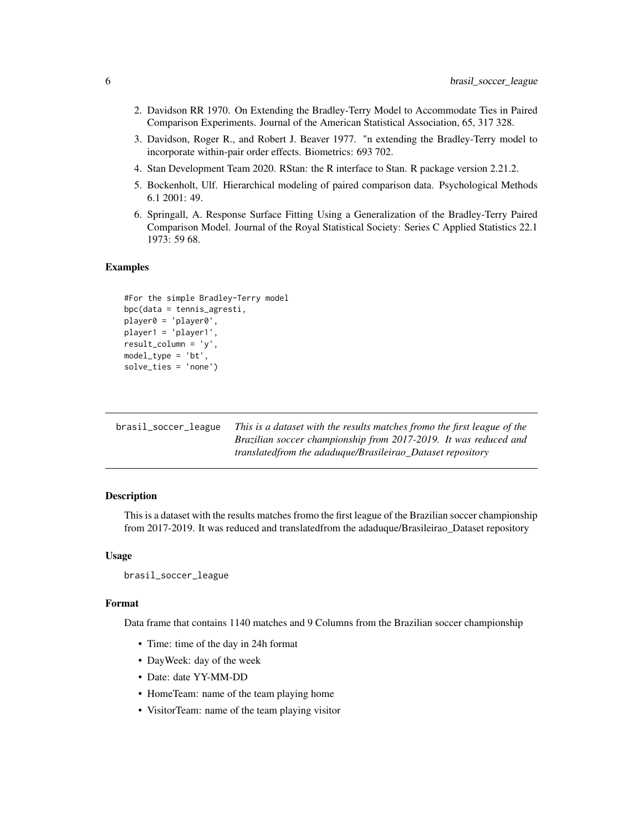- <span id="page-5-0"></span>2. Davidson RR 1970. On Extending the Bradley-Terry Model to Accommodate Ties in Paired Comparison Experiments. Journal of the American Statistical Association, 65, 317 328.
- 3. Davidson, Roger R., and Robert J. Beaver 1977. "n extending the Bradley-Terry model to incorporate within-pair order effects. Biometrics: 693 702.
- 4. Stan Development Team 2020. RStan: the R interface to Stan. R package version 2.21.2.
- 5. Bockenholt, Ulf. Hierarchical modeling of paired comparison data. Psychological Methods 6.1 2001: 49.
- 6. Springall, A. Response Surface Fitting Using a Generalization of the Bradley-Terry Paired Comparison Model. Journal of the Royal Statistical Society: Series C Applied Statistics 22.1 1973: 59 68.

#### Examples

```
#For the simple Bradley-Terry model
bpc(data = tennis_agresti,
player0 = 'player0',
player1 = 'player1',
result_column = 'y',
model_type = 'bt',
solve_ties = 'none')
```

| brasil_soccer_league | This is a dataset with the results matches fromo the first league of the |
|----------------------|--------------------------------------------------------------------------|
|                      | Brazilian soccer championship from 2017-2019. It was reduced and         |
|                      | translated from the adadugue/Brasileirao Dataset repository              |

#### Description

This is a dataset with the results matches fromo the first league of the Brazilian soccer championship from 2017-2019. It was reduced and translatedfrom the adaduque/Brasileirao\_Dataset repository

#### Usage

```
brasil_soccer_league
```
#### Format

Data frame that contains 1140 matches and 9 Columns from the Brazilian soccer championship

- Time: time of the day in 24h format
- DayWeek: day of the week
- Date: date YY-MM-DD
- HomeTeam: name of the team playing home
- VisitorTeam: name of the team playing visitor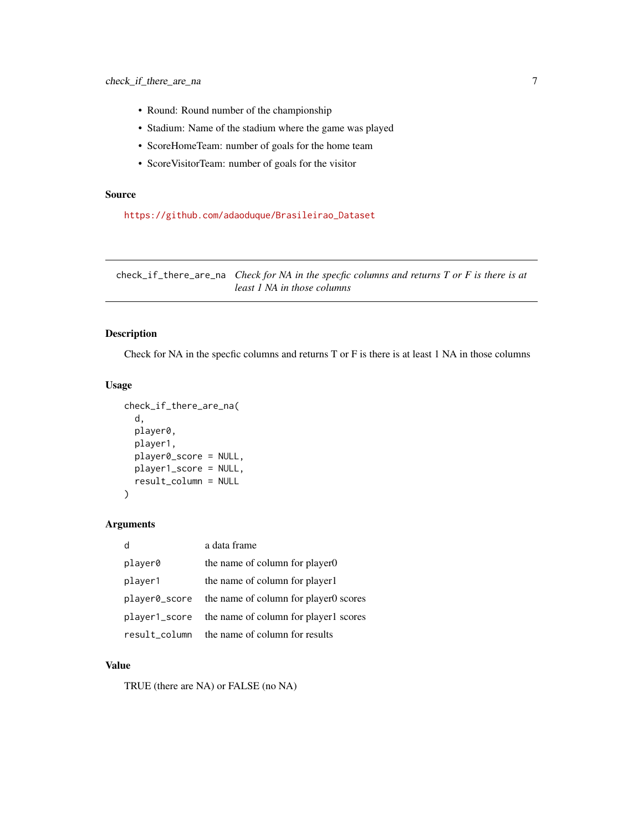- <span id="page-6-0"></span>• Round: Round number of the championship
- Stadium: Name of the stadium where the game was played
- ScoreHomeTeam: number of goals for the home team
- ScoreVisitorTeam: number of goals for the visitor

# Source

[https://github.com/adaoduque/Brasileirao\\_Dataset](https://github.com/adaoduque/Brasileirao_Dataset)

check\_if\_there\_are\_na *Check for NA in the specfic columns and returns T or F is there is at least 1 NA in those columns*

# Description

Check for NA in the specfic columns and returns T or F is there is at least 1 NA in those columns

#### Usage

```
check_if_there_are_na(
  d,
  player0,
 player1,
 player0_score = NULL,
 player1_score = NULL,
  result_column = NULL
)
```
# Arguments

|               | a data frame                          |
|---------------|---------------------------------------|
| player0       | the name of column for player0        |
| player1       | the name of column for player1        |
| player0_score | the name of column for player oscores |
| player1_score | the name of column for player1 scores |
| result column | the name of column for results        |

#### Value

TRUE (there are NA) or FALSE (no NA)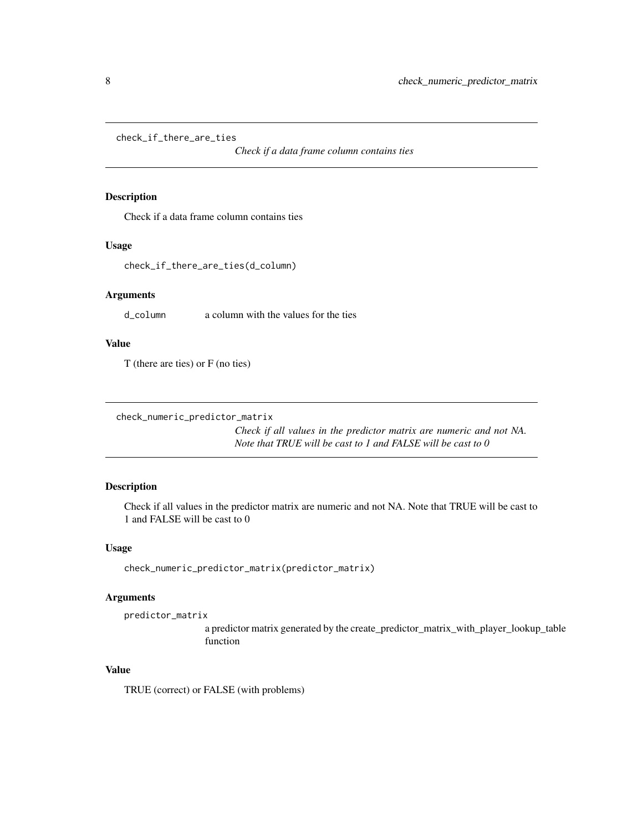<span id="page-7-0"></span>check\_if\_there\_are\_ties

*Check if a data frame column contains ties*

### Description

Check if a data frame column contains ties

#### Usage

check\_if\_there\_are\_ties(d\_column)

# Arguments

d\_column a column with the values for the ties

# Value

T (there are ties) or F (no ties)

```
check_numeric_predictor_matrix
```
*Check if all values in the predictor matrix are numeric and not NA. Note that TRUE will be cast to 1 and FALSE will be cast to 0*

# Description

Check if all values in the predictor matrix are numeric and not NA. Note that TRUE will be cast to 1 and FALSE will be cast to 0

#### Usage

check\_numeric\_predictor\_matrix(predictor\_matrix)

# Arguments

predictor\_matrix

a predictor matrix generated by the create\_predictor\_matrix\_with\_player\_lookup\_table function

#### Value

TRUE (correct) or FALSE (with problems)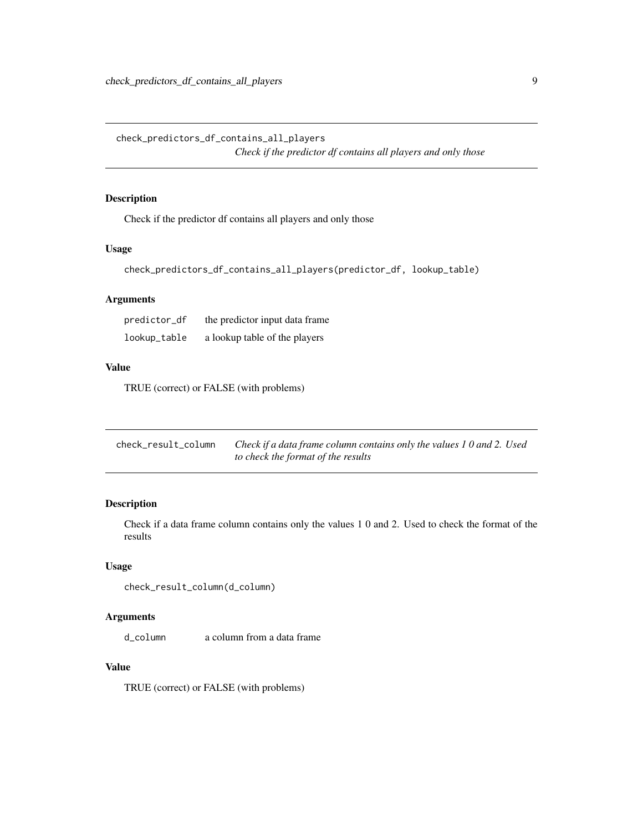<span id="page-8-0"></span>check\_predictors\_df\_contains\_all\_players *Check if the predictor df contains all players and only those*

# Description

Check if the predictor df contains all players and only those

# Usage

```
check_predictors_df_contains_all_players(predictor_df, lookup_table)
```
# Arguments

| predictor_df | the predictor input data frame |
|--------------|--------------------------------|
| lookup_table | a lookup table of the players  |

# Value

TRUE (correct) or FALSE (with problems)

| check_result_column | Check if a data frame column contains only the values 10 and 2. Used |
|---------------------|----------------------------------------------------------------------|
|                     | to check the format of the results                                   |

# Description

Check if a data frame column contains only the values 1 0 and 2. Used to check the format of the results

# Usage

```
check_result_column(d_column)
```
#### Arguments

d column a column from a data frame

#### Value

TRUE (correct) or FALSE (with problems)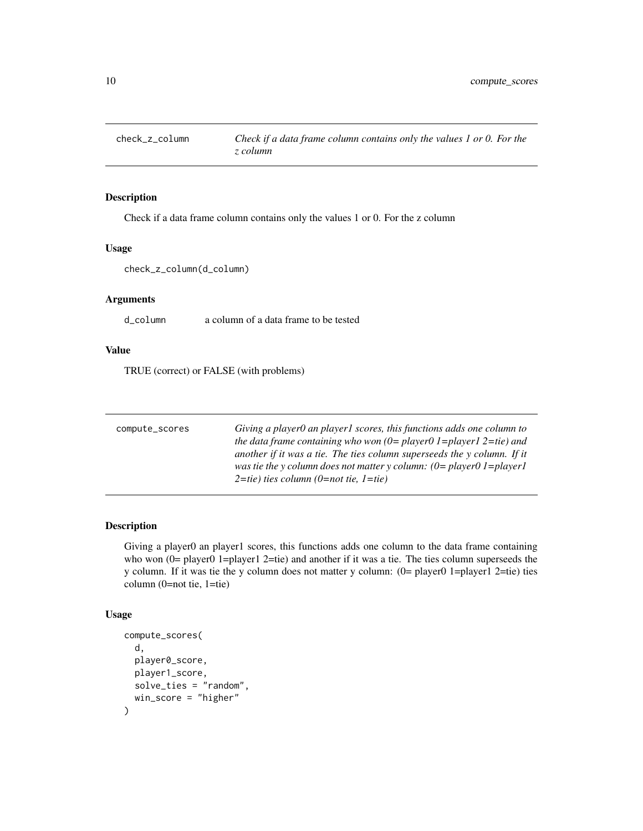<span id="page-9-0"></span>

# Description

Check if a data frame column contains only the values 1 or 0. For the z column

#### Usage

```
check_z_column(d_column)
```
# Arguments

d\_column a column of a data frame to be tested

# Value

TRUE (correct) or FALSE (with problems)

| compute_scores | Giving a player0 an player1 scores, this functions adds one column to           |
|----------------|---------------------------------------------------------------------------------|
|                | the data frame containing who won $(0=$ player $0=$ 1=player $1=$ 2=tie) and    |
|                | another if it was a tie. The ties column superseeds the y column. If it         |
|                | was tie the y column does not matter y column: $(0=$ player $0=$ 1 = player $1$ |
|                | $2 = tie$ ) ties column (0=not tie, 1=tie)                                      |

# Description

Giving a player0 an player1 scores, this functions adds one column to the data frame containing who won (0= player0 1=player1 2=tie) and another if it was a tie. The ties column superseeds the y column. If it was tie the y column does not matter y column: (0= player0 1=player1 2=tie) ties column (0=not tie, 1=tie)

#### Usage

```
compute_scores(
  d,
 player0_score,
 player1_score,
 solve_ties = "random",
 win_score = "higher"
)
```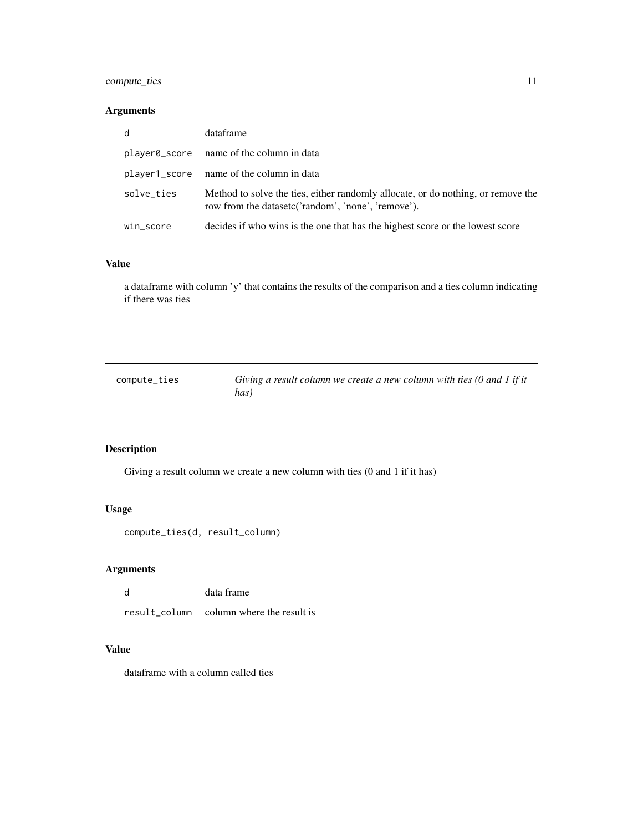# <span id="page-10-0"></span>compute\_ties 11

# Arguments

| d          | dataframe                                                                                                                              |
|------------|----------------------------------------------------------------------------------------------------------------------------------------|
|            | player0_score name of the column in data                                                                                               |
|            | player1_score name of the column in data                                                                                               |
| solve_ties | Method to solve the ties, either randomly allocate, or do nothing, or remove the<br>row from the datasetc('random', 'none', 'remove'). |
| win_score  | decides if who wins is the one that has the highest score or the lowest score                                                          |

#### Value

a dataframe with column 'y' that contains the results of the comparison and a ties column indicating if there was ties

| compute_ties | Giving a result column we create a new column with ties $(0 \text{ and } 1 \text{ if it})$ |
|--------------|--------------------------------------------------------------------------------------------|
|              | has)                                                                                       |

# Description

Giving a result column we create a new column with ties (0 and 1 if it has)

# Usage

```
compute_ties(d, result_column)
```
# Arguments

| d | data frame |
|---|------------|
|   |            |

result\_column column where the result is

# Value

dataframe with a column called ties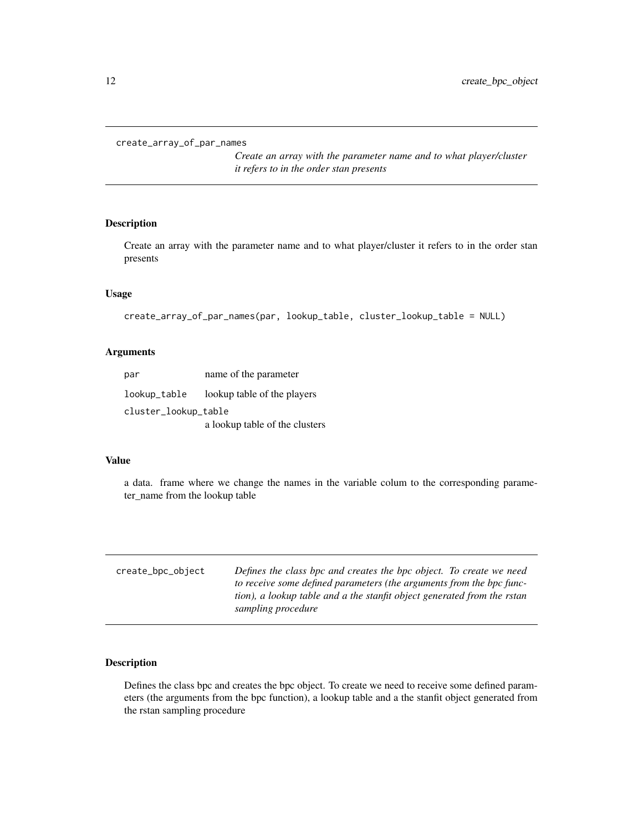<span id="page-11-0"></span>create\_array\_of\_par\_names

*Create an array with the parameter name and to what player/cluster it refers to in the order stan presents*

#### Description

Create an array with the parameter name and to what player/cluster it refers to in the order stan presents

# Usage

```
create_array_of_par_names(par, lookup_table, cluster_lookup_table = NULL)
```
#### Arguments

| par                  | name of the parameter          |  |
|----------------------|--------------------------------|--|
| lookup_table         | lookup table of the players    |  |
| cluster_lookup_table |                                |  |
|                      | a lookup table of the clusters |  |

#### Value

a data. frame where we change the names in the variable colum to the corresponding parameter\_name from the lookup table

| create_bpc_object | Defines the class bpc and creates the bpc object. To create we need<br>to receive some defined parameters (the arguments from the bpc func- |  |
|-------------------|---------------------------------------------------------------------------------------------------------------------------------------------|--|
|                   | tion), a lookup table and a the stanfit object generated from the rstan<br>sampling procedure                                               |  |

# Description

Defines the class bpc and creates the bpc object. To create we need to receive some defined parameters (the arguments from the bpc function), a lookup table and a the stanfit object generated from the rstan sampling procedure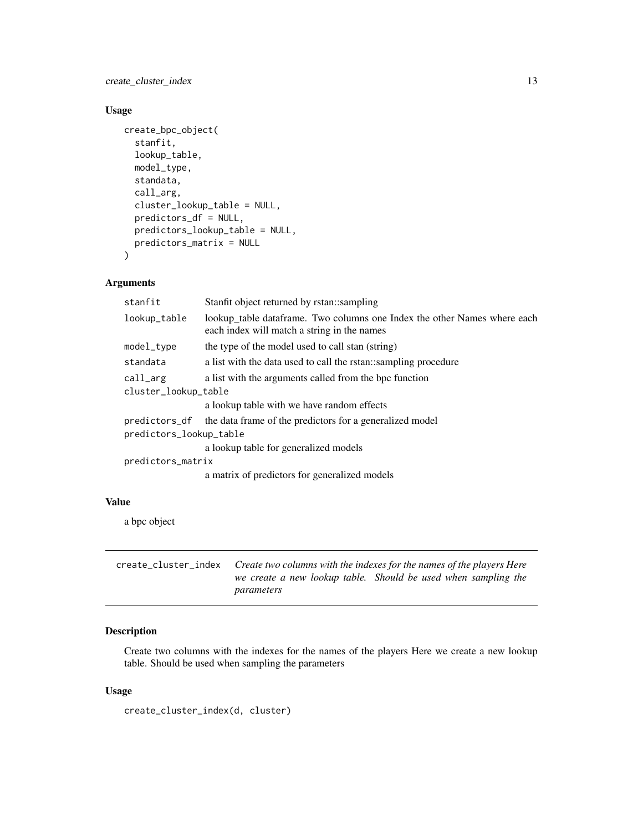<span id="page-12-0"></span>create\_cluster\_index 13

#### Usage

```
create_bpc_object(
  stanfit,
  lookup_table,
 model_type,
  standata,
  call_arg,
  cluster_lookup_table = NULL,
  predictors_df = NULL,
 predictors_lookup_table = NULL,
 predictors_matrix = NULL
)
```
# Arguments

| stanfit                 | Stanfit object returned by rstan: sampling                                                                              |  |
|-------------------------|-------------------------------------------------------------------------------------------------------------------------|--|
| lookup_table            | lookup_table dataframe. Two columns one Index the other Names where each<br>each index will match a string in the names |  |
| model_type              | the type of the model used to call stan (string)                                                                        |  |
| standata                | a list with the data used to call the rstan: sampling procedure                                                         |  |
| call_arg                | a list with the arguments called from the bpc function                                                                  |  |
| cluster_lookup_table    |                                                                                                                         |  |
|                         | a lookup table with we have random effects                                                                              |  |
| predictors_df           | the data frame of the predictors for a generalized model                                                                |  |
| predictors_lookup_table |                                                                                                                         |  |
|                         | a lookup table for generalized models                                                                                   |  |
| predictors_matrix       |                                                                                                                         |  |
|                         | a matrix of predictors for generalized models                                                                           |  |

#### Value

a bpc object

create\_cluster\_index *Create two columns with the indexes for the names of the players Here we create a new lookup table. Should be used when sampling the parameters*

# Description

Create two columns with the indexes for the names of the players Here we create a new lookup table. Should be used when sampling the parameters

#### Usage

```
create_cluster_index(d, cluster)
```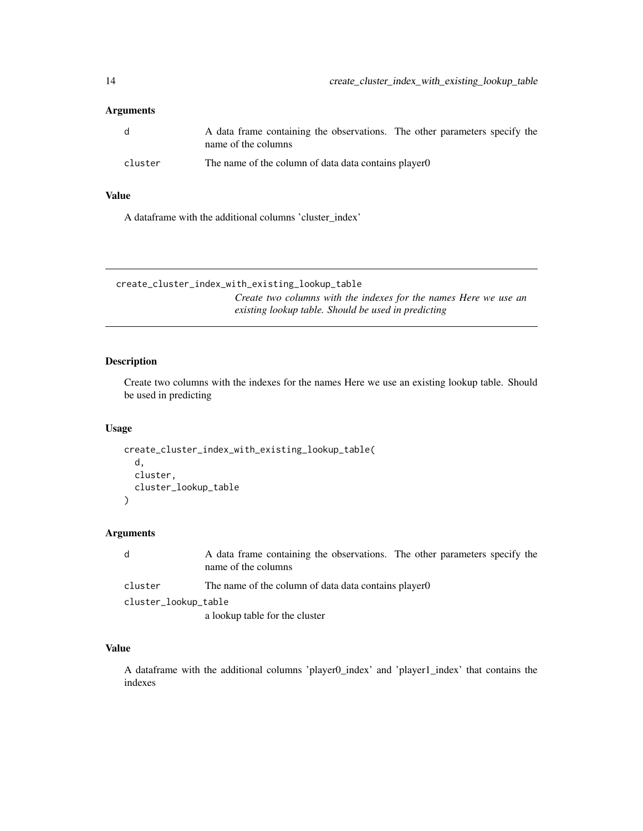# <span id="page-13-0"></span>Arguments

| - q     | A data frame containing the observations. The other parameters specify the<br>name of the columns |
|---------|---------------------------------------------------------------------------------------------------|
| cluster | The name of the column of data data contains player 0                                             |

# Value

A dataframe with the additional columns 'cluster\_index'

create\_cluster\_index\_with\_existing\_lookup\_table *Create two columns with the indexes for the names Here we use an existing lookup table. Should be used in predicting*

# Description

Create two columns with the indexes for the names Here we use an existing lookup table. Should be used in predicting

# Usage

```
create_cluster_index_with_existing_lookup_table(
  d,
  cluster,
  cluster_lookup_table
)
```
# Arguments

| d                    | A data frame containing the observations. The other parameters specify the<br>name of the columns |
|----------------------|---------------------------------------------------------------------------------------------------|
| cluster              | The name of the column of data data contains player 0                                             |
| cluster_lookup_table |                                                                                                   |
|                      | a lookup table for the cluster                                                                    |

# Value

A dataframe with the additional columns 'player0\_index' and 'player1\_index' that contains the indexes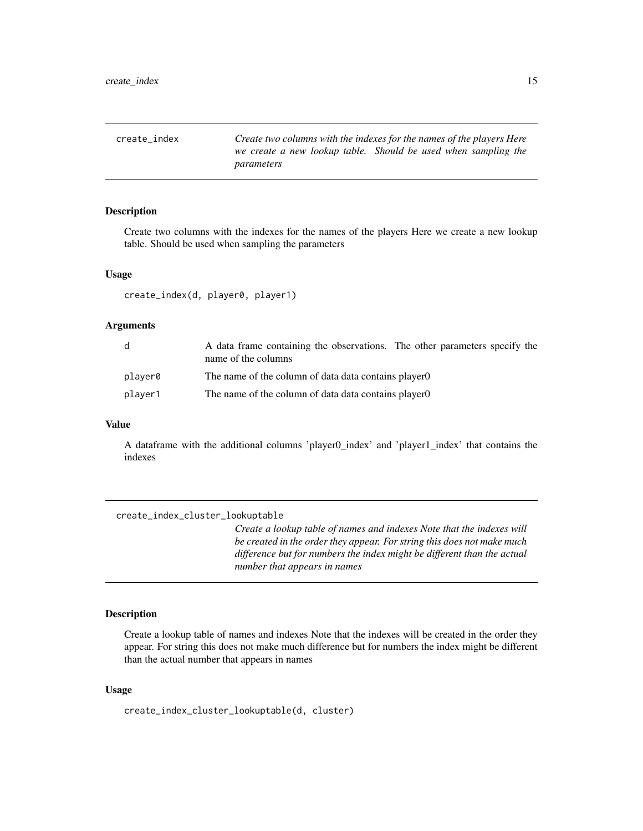<span id="page-14-0"></span>create\_index *Create two columns with the indexes for the names of the players Here we create a new lookup table. Should be used when sampling the parameters*

#### Description

Create two columns with the indexes for the names of the players Here we create a new lookup table. Should be used when sampling the parameters

#### Usage

create\_index(d, player0, player1)

# Arguments

| d       | A data frame containing the observations. The other parameters specify the<br>name of the columns |
|---------|---------------------------------------------------------------------------------------------------|
| player0 | The name of the column of data data contains player 0                                             |
| player1 | The name of the column of data data contains player 0                                             |

#### Value

A dataframe with the additional columns 'player0\_index' and 'player1\_index' that contains the indexes

| create_index_cluster_lookuptable |                                                                                                                                                                                                                                                             |
|----------------------------------|-------------------------------------------------------------------------------------------------------------------------------------------------------------------------------------------------------------------------------------------------------------|
|                                  | Create a lookup table of names and indexes Note that the indexes will<br>be created in the order they appear. For string this does not make much<br>difference but for numbers the index might be different than the actual<br>number that appears in names |

# Description

Create a lookup table of names and indexes Note that the indexes will be created in the order they appear. For string this does not make much difference but for numbers the index might be different than the actual number that appears in names

#### Usage

create\_index\_cluster\_lookuptable(d, cluster)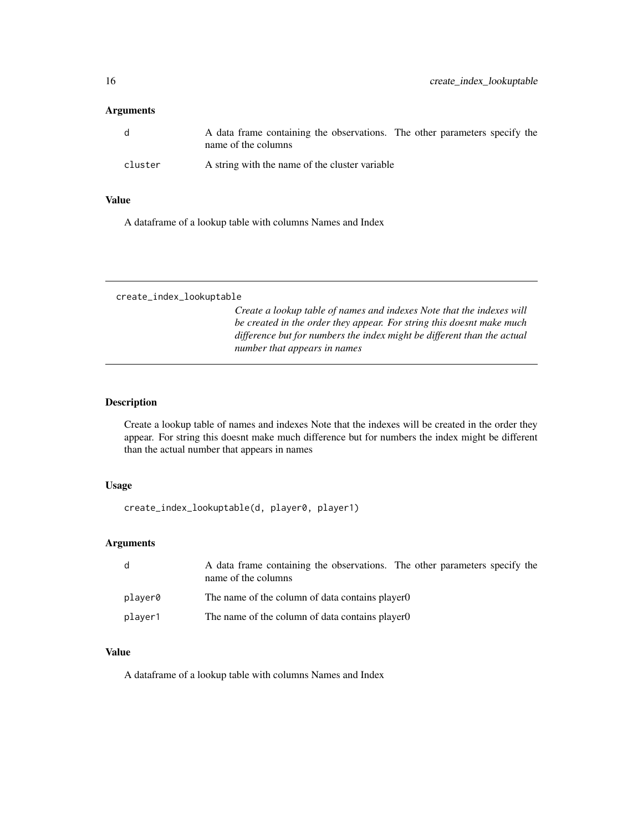# <span id="page-15-0"></span>Arguments

| - q     | A data frame containing the observations. The other parameters specify the<br>name of the columns |  |  |
|---------|---------------------------------------------------------------------------------------------------|--|--|
| cluster | A string with the name of the cluster variable                                                    |  |  |

# Value

A dataframe of a lookup table with columns Names and Index

create\_index\_lookuptable

*Create a lookup table of names and indexes Note that the indexes will be created in the order they appear. For string this doesnt make much difference but for numbers the index might be different than the actual number that appears in names*

# Description

Create a lookup table of names and indexes Note that the indexes will be created in the order they appear. For string this doesnt make much difference but for numbers the index might be different than the actual number that appears in names

# Usage

create\_index\_lookuptable(d, player0, player1)

# Arguments

| d       | A data frame containing the observations. The other parameters specify the<br>name of the columns |
|---------|---------------------------------------------------------------------------------------------------|
| plaver0 | The name of the column of data contains player 0                                                  |
| plaver1 | The name of the column of data contains player 0                                                  |

# Value

A dataframe of a lookup table with columns Names and Index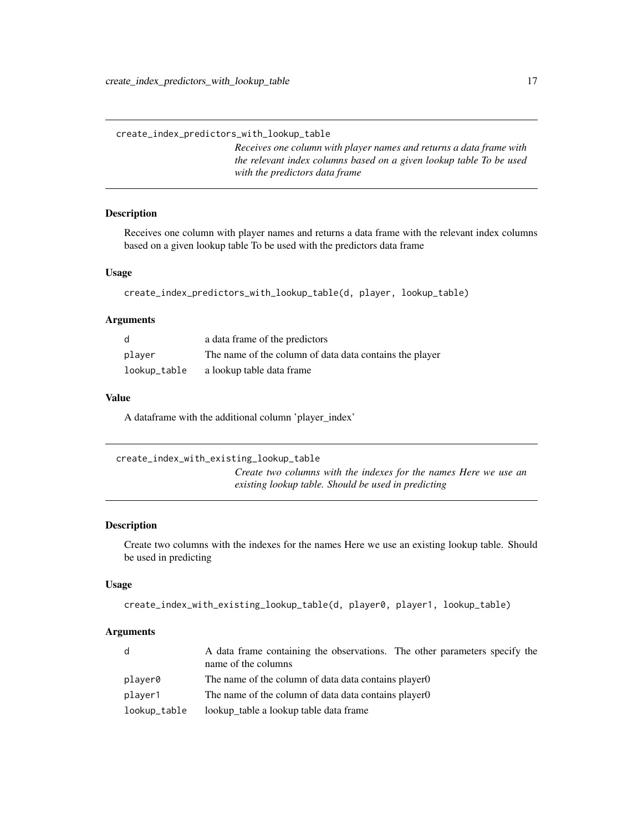<span id="page-16-0"></span>create\_index\_predictors\_with\_lookup\_table

*Receives one column with player names and returns a data frame with the relevant index columns based on a given lookup table To be used with the predictors data frame*

# Description

Receives one column with player names and returns a data frame with the relevant index columns based on a given lookup table To be used with the predictors data frame

# Usage

```
create_index_predictors_with_lookup_table(d, player, lookup_table)
```
#### Arguments

|              | a data frame of the predictors                          |
|--------------|---------------------------------------------------------|
| plaver       | The name of the column of data data contains the player |
| lookup_table | a lookup table data frame                               |

# Value

A dataframe with the additional column 'player\_index'

| create_index_with_existing_lookup_table                          |
|------------------------------------------------------------------|
| Create two columns with the indexes for the names Here we use an |
| existing lookup table. Should be used in predicting              |

# Description

Create two columns with the indexes for the names Here we use an existing lookup table. Should be used in predicting

# Usage

```
create_index_with_existing_lookup_table(d, player0, player1, lookup_table)
```
#### Arguments

| d            | A data frame containing the observations. The other parameters specify the<br>name of the columns |
|--------------|---------------------------------------------------------------------------------------------------|
| player0      | The name of the column of data data contains player 0                                             |
| player1      | The name of the column of data data contains player 0                                             |
| lookup_table | lookup table a lookup table data frame                                                            |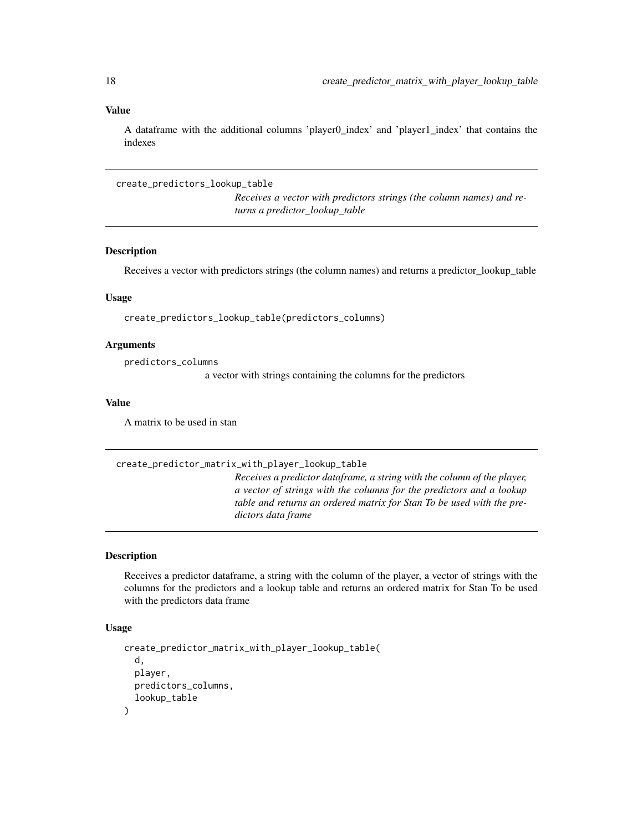# Value

A dataframe with the additional columns 'player0\_index' and 'player1\_index' that contains the indexes

create\_predictors\_lookup\_table

*Receives a vector with predictors strings (the column names) and returns a predictor\_lookup\_table*

# Description

Receives a vector with predictors strings (the column names) and returns a predictor\_lookup\_table

#### Usage

create\_predictors\_lookup\_table(predictors\_columns)

#### Arguments

predictors\_columns

a vector with strings containing the columns for the predictors

#### Value

A matrix to be used in stan

#### create\_predictor\_matrix\_with\_player\_lookup\_table

*Receives a predictor dataframe, a string with the column of the player, a vector of strings with the columns for the predictors and a lookup table and returns an ordered matrix for Stan To be used with the predictors data frame*

#### Description

Receives a predictor dataframe, a string with the column of the player, a vector of strings with the columns for the predictors and a lookup table and returns an ordered matrix for Stan To be used with the predictors data frame

#### Usage

```
create_predictor_matrix_with_player_lookup_table(
  d,
 player,
 predictors_columns,
  lookup_table
)
```
<span id="page-17-0"></span>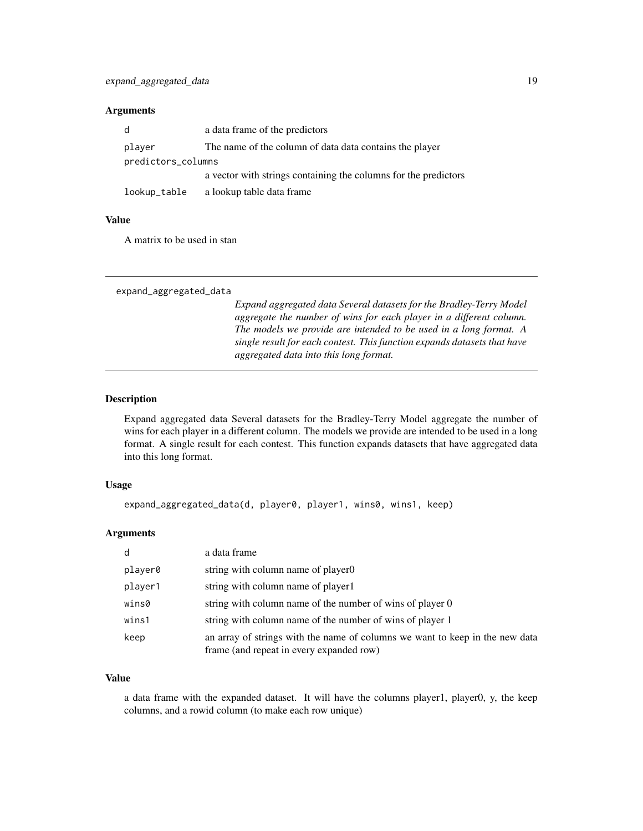# <span id="page-18-0"></span>Arguments

| d                  | a data frame of the predictors                                  |  |
|--------------------|-----------------------------------------------------------------|--|
| player             | The name of the column of data data contains the player         |  |
| predictors_columns |                                                                 |  |
|                    | a vector with strings containing the columns for the predictors |  |
| lookup_table       | a lookup table data frame                                       |  |

# Value

A matrix to be used in stan

```
expand_aggregated_data
```
*Expand aggregated data Several datasets for the Bradley-Terry Model aggregate the number of wins for each player in a different column. The models we provide are intended to be used in a long format. A single result for each contest. This function expands datasets that have aggregated data into this long format.*

# Description

Expand aggregated data Several datasets for the Bradley-Terry Model aggregate the number of wins for each player in a different column. The models we provide are intended to be used in a long format. A single result for each contest. This function expands datasets that have aggregated data into this long format.

#### Usage

expand\_aggregated\_data(d, player0, player1, wins0, wins1, keep)

#### Arguments

| d       | a data frame                                                                                                             |
|---------|--------------------------------------------------------------------------------------------------------------------------|
| player0 | string with column name of player 0                                                                                      |
| player1 | string with column name of player1                                                                                       |
| wins0   | string with column name of the number of wins of player 0                                                                |
| wins1   | string with column name of the number of wins of player 1                                                                |
| keep    | an array of strings with the name of columns we want to keep in the new data<br>frame (and repeat in every expanded row) |

#### Value

a data frame with the expanded dataset. It will have the columns player1, player0, y, the keep columns, and a rowid column (to make each row unique)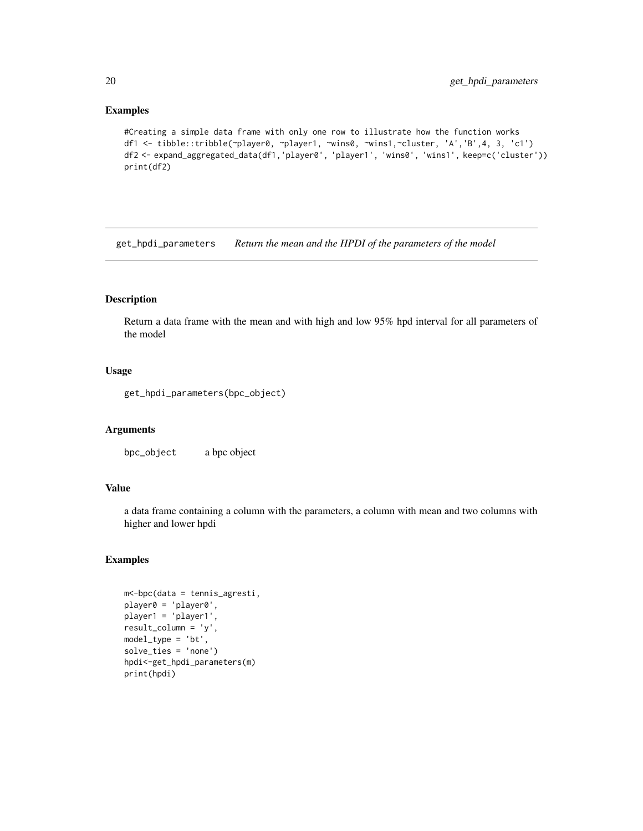#### Examples

```
#Creating a simple data frame with only one row to illustrate how the function works
df1 <- tibble::tribble(~player0, ~player1, ~wins0, ~wins1,~cluster, 'A','B',4, 3, 'c1')
df2 <- expand_aggregated_data(df1,'player0', 'player1', 'wins0', 'wins1', keep=c('cluster'))
print(df2)
```
get\_hpdi\_parameters *Return the mean and the HPDI of the parameters of the model*

#### Description

Return a data frame with the mean and with high and low 95% hpd interval for all parameters of the model

#### Usage

```
get_hpdi_parameters(bpc_object)
```
#### Arguments

bpc\_object a bpc object

# Value

a data frame containing a column with the parameters, a column with mean and two columns with higher and lower hpdi

# Examples

```
m<-bpc(data = tennis_agresti,
player0 = 'player0',
player1 = 'player1',
result_column = 'y',
model_type = 'bt',
solve_ties = 'none')
hpdi<-get_hpdi_parameters(m)
print(hpdi)
```
<span id="page-19-0"></span>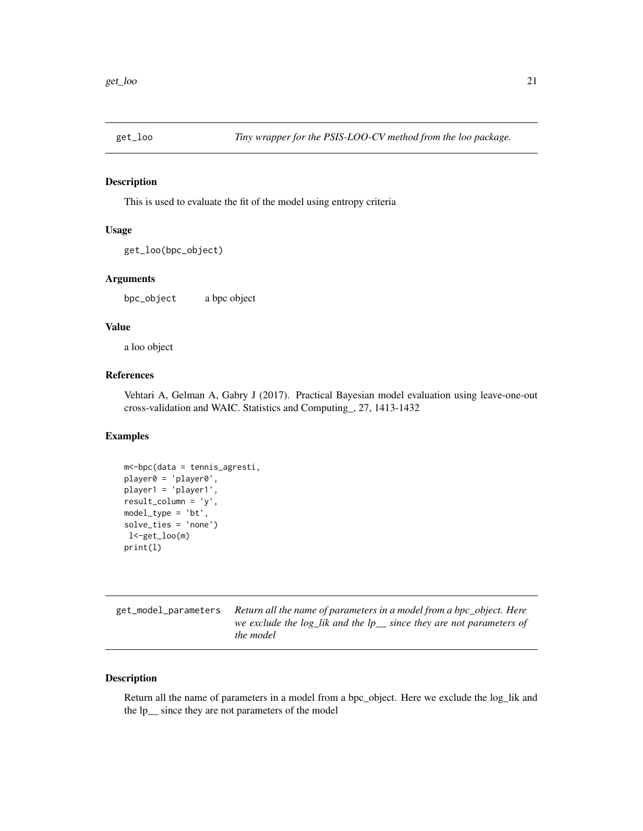<span id="page-20-0"></span>

#### Description

This is used to evaluate the fit of the model using entropy criteria

# Usage

get\_loo(bpc\_object)

# Arguments

bpc\_object a bpc object

#### Value

a loo object

# References

Vehtari A, Gelman A, Gabry J (2017). Practical Bayesian model evaluation using leave-one-out cross-validation and WAIC. Statistics and Computing\_, 27, 1413-1432

#### Examples

```
m<-bpc(data = tennis_agresti,
player0 = 'player0',
player1 = 'player1',
result_column = 'y',
model_type = 'bt',
solve_ties = 'none')
l<-get_loo(m)
print(l)
```

| get_model_parameters Return all the name of parameters in a model from a bpc_object. Here |
|-------------------------------------------------------------------------------------------|
| we exclude the $log_{i}$ lik and the $lp_{i}$ since they are not parameters of            |
| <i>the model</i>                                                                          |

#### Description

Return all the name of parameters in a model from a bpc\_object. Here we exclude the log\_lik and the lp\_\_ since they are not parameters of the model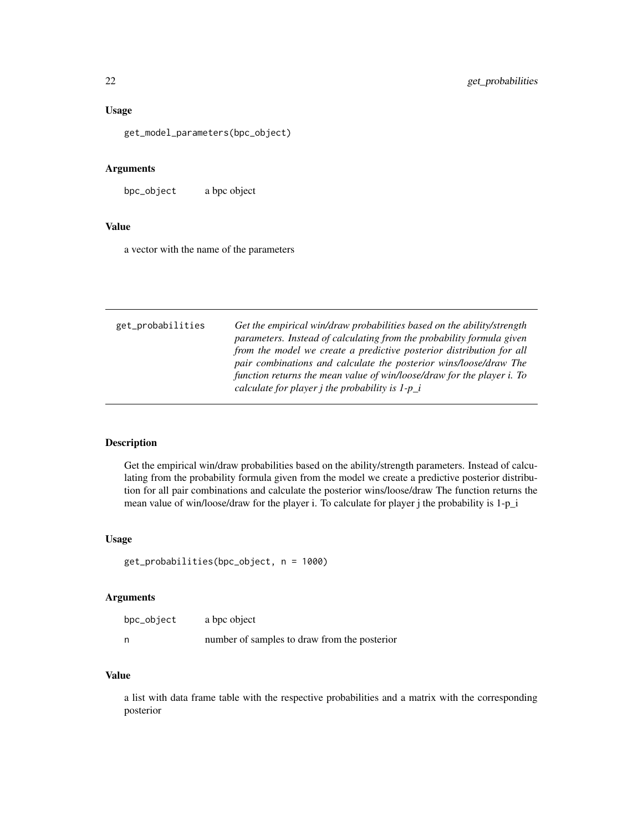#### <span id="page-21-0"></span>Usage

get\_model\_parameters(bpc\_object)

#### Arguments

bpc\_object a bpc object

# Value

a vector with the name of the parameters

| Get the empirical win/draw probabilities based on the ability/strength<br>get_probabilities<br>parameters. Instead of calculating from the probability formula given<br>from the model we create a predictive posterior distribution for all<br>pair combinations and calculate the posterior wins/loose/draw The<br>function returns the mean value of win/loose/draw for the player i. To<br>calculate for player <i>j</i> the probability is $1-p_i$ |
|---------------------------------------------------------------------------------------------------------------------------------------------------------------------------------------------------------------------------------------------------------------------------------------------------------------------------------------------------------------------------------------------------------------------------------------------------------|
|---------------------------------------------------------------------------------------------------------------------------------------------------------------------------------------------------------------------------------------------------------------------------------------------------------------------------------------------------------------------------------------------------------------------------------------------------------|

#### Description

Get the empirical win/draw probabilities based on the ability/strength parameters. Instead of calculating from the probability formula given from the model we create a predictive posterior distribution for all pair combinations and calculate the posterior wins/loose/draw The function returns the mean value of win/loose/draw for the player i. To calculate for player j the probability is 1-p\_i

#### Usage

```
get_probabilities(bpc_object, n = 1000)
```
#### Arguments

| bpc_object | a bpc object                                 |
|------------|----------------------------------------------|
| n          | number of samples to draw from the posterior |

# Value

a list with data frame table with the respective probabilities and a matrix with the corresponding posterior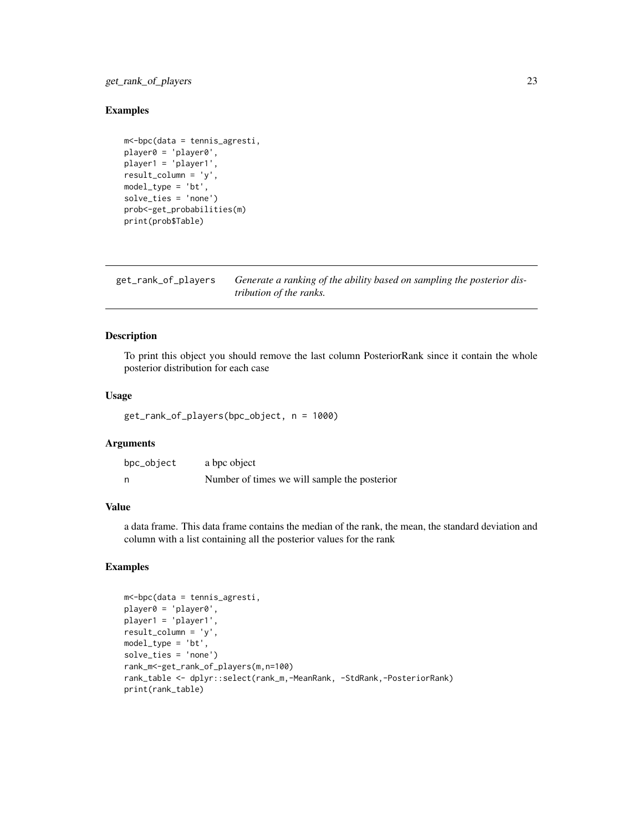# <span id="page-22-0"></span>get\_rank\_of\_players 23

#### Examples

```
m<-bpc(data = tennis_agresti,
player0 = 'player0',
player1 = 'player1',
result_column = 'y',
model_type = 'bt',
solve_ties = 'none')
prob<-get_probabilities(m)
print(prob$Table)
```
get\_rank\_of\_players *Generate a ranking of the ability based on sampling the posterior distribution of the ranks.*

# Description

To print this object you should remove the last column PosteriorRank since it contain the whole posterior distribution for each case

#### Usage

get\_rank\_of\_players(bpc\_object, n = 1000)

# Arguments

| bpc_object | a bpc object                                 |
|------------|----------------------------------------------|
| n          | Number of times we will sample the posterior |

# Value

a data frame. This data frame contains the median of the rank, the mean, the standard deviation and column with a list containing all the posterior values for the rank

#### Examples

```
m<-bpc(data = tennis_agresti,
player0 = 'player0',
player1 = 'player1',
result_column = 'y',
model_type = 'bt',
solve_ties = 'none')
rank_m<-get_rank_of_players(m,n=100)
rank_table <- dplyr::select(rank_m,-MeanRank, -StdRank,-PosteriorRank)
print(rank_table)
```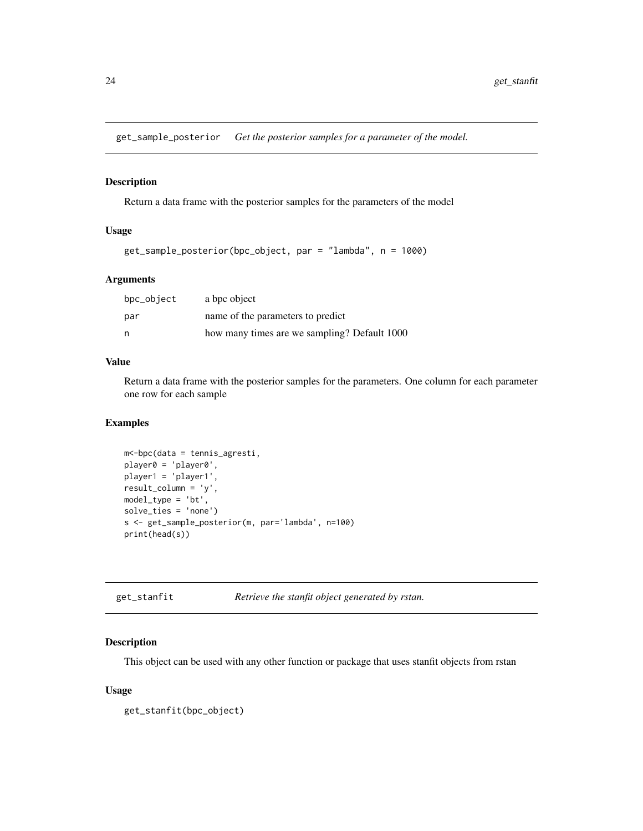<span id="page-23-0"></span>get\_sample\_posterior *Get the posterior samples for a parameter of the model.*

#### Description

Return a data frame with the posterior samples for the parameters of the model

# Usage

```
get_sample_posterior(bpc_object, par = "lambda", n = 1000)
```
#### Arguments

| bpc_object | a bpc object                                 |
|------------|----------------------------------------------|
| par        | name of the parameters to predict            |
| n          | how many times are we sampling? Default 1000 |

#### Value

Return a data frame with the posterior samples for the parameters. One column for each parameter one row for each sample

#### Examples

```
m<-bpc(data = tennis_agresti,
player0 = 'player0',
player1 = 'player1',
result_column = 'y',
model_type = 'bt',
solve_ties = 'none')
s <- get_sample_posterior(m, par='lambda', n=100)
print(head(s))
```

| get_stanfit | Retrieve the stanfit object generated by rstan. |
|-------------|-------------------------------------------------|
|             |                                                 |

# Description

This object can be used with any other function or package that uses stanfit objects from rstan

# Usage

get\_stanfit(bpc\_object)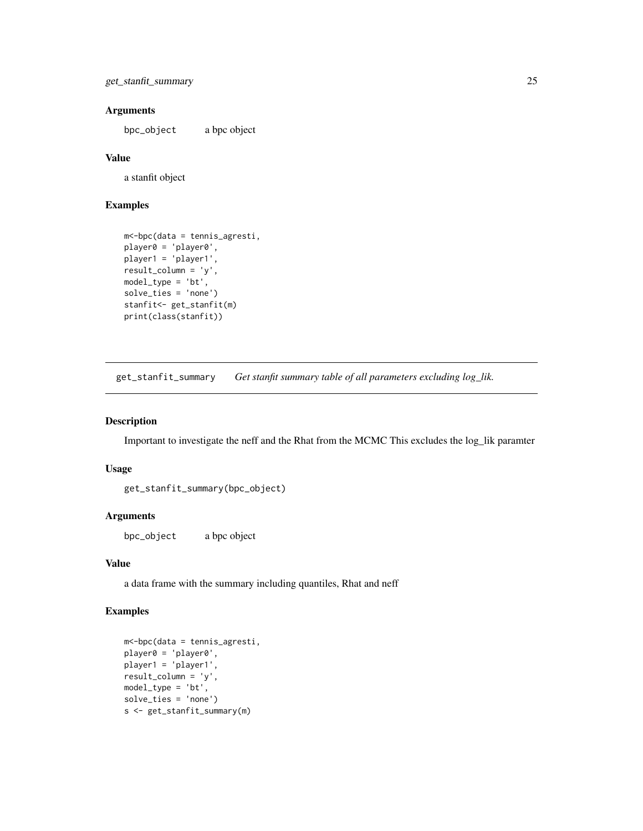```
get_stanfit_summary 25
```
# Arguments

bpc\_object a bpc object

#### Value

a stanfit object

#### Examples

```
m<-bpc(data = tennis_agresti,
player0 = 'player0',
player1 = 'player1',
result_column = 'y',
model_type = 'bt',
solve_ties = 'none')
stanfit<- get_stanfit(m)
print(class(stanfit))
```
get\_stanfit\_summary *Get stanfit summary table of all parameters excluding log\_lik.*

#### Description

Important to investigate the neff and the Rhat from the MCMC This excludes the log\_lik paramter

# Usage

get\_stanfit\_summary(bpc\_object)

#### Arguments

bpc\_object a bpc object

#### Value

a data frame with the summary including quantiles, Rhat and neff

# Examples

```
m<-bpc(data = tennis_agresti,
player0 = 'player0',
player1 = 'player1',
result_column = 'y',
model_type = 'bt',
solve_ties = 'none')
s <- get_stanfit_summary(m)
```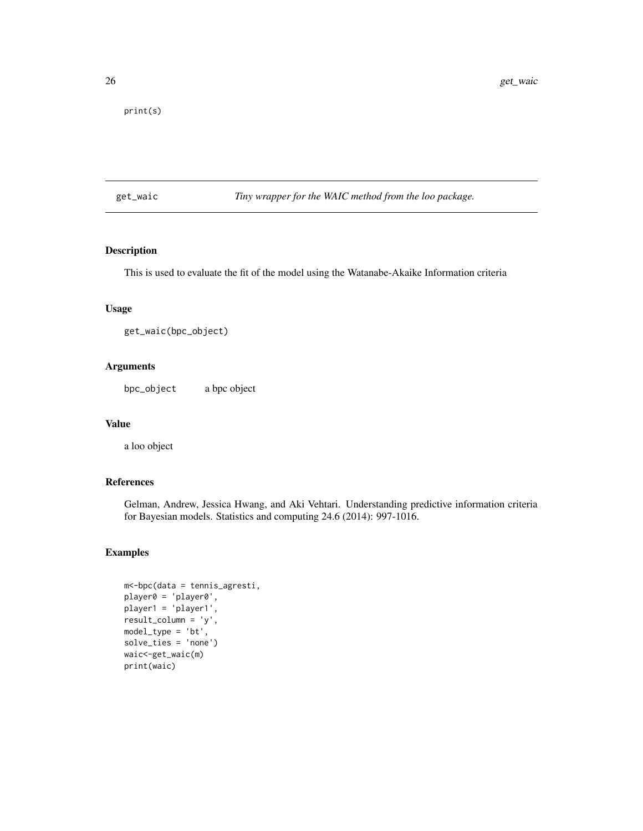<span id="page-25-0"></span>print(s)

get\_waic *Tiny wrapper for the WAIC method from the loo package.*

#### Description

This is used to evaluate the fit of the model using the Watanabe-Akaike Information criteria

#### Usage

get\_waic(bpc\_object)

# Arguments

bpc\_object a bpc object

#### Value

a loo object

# References

Gelman, Andrew, Jessica Hwang, and Aki Vehtari. Understanding predictive information criteria for Bayesian models. Statistics and computing 24.6 (2014): 997-1016.

# Examples

```
m<-bpc(data = tennis_agresti,
player0 = 'player0',
player1 = 'player1',
result_column = 'y',
model_type = 'bt',
solve_ties = 'none')
waic<-get_waic(m)
print(waic)
```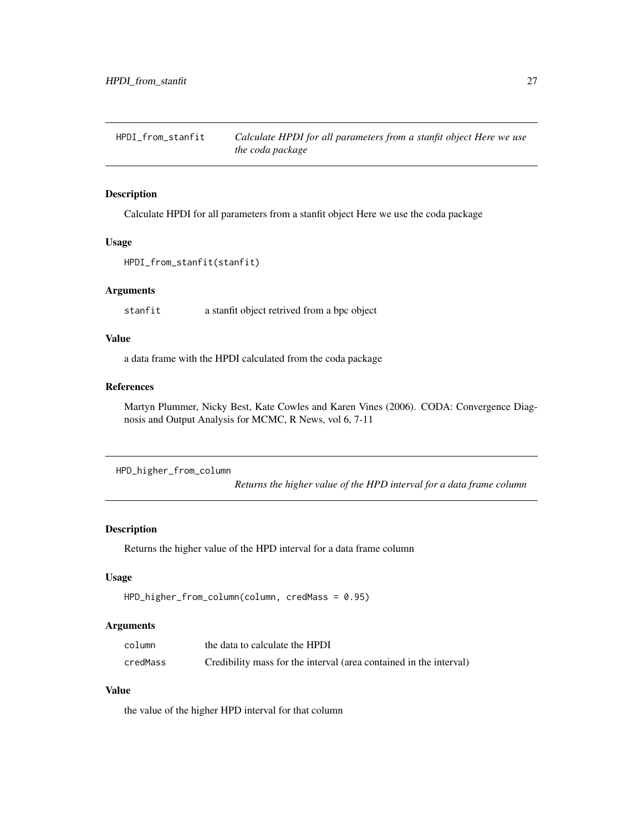<span id="page-26-0"></span>

#### Description

Calculate HPDI for all parameters from a stanfit object Here we use the coda package

#### Usage

```
HPDI_from_stanfit(stanfit)
```
#### Arguments

stanfit a stanfit object retrived from a bpc object

# Value

a data frame with the HPDI calculated from the coda package

# References

Martyn Plummer, Nicky Best, Kate Cowles and Karen Vines (2006). CODA: Convergence Diagnosis and Output Analysis for MCMC, R News, vol 6, 7-11

```
HPD_higher_from_column
```
*Returns the higher value of the HPD interval for a data frame column*

#### Description

Returns the higher value of the HPD interval for a data frame column

# Usage

```
HPD_higher_from_column(column, credMass = 0.95)
```
#### Arguments

| column   | the data to calculate the HPDI                                     |
|----------|--------------------------------------------------------------------|
| credMass | Credibility mass for the interval (area contained in the interval) |

# Value

the value of the higher HPD interval for that column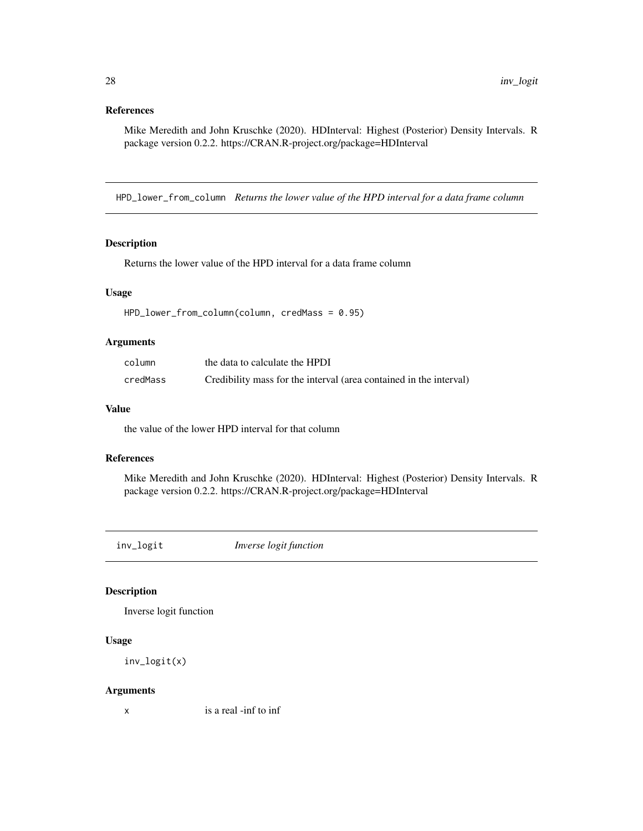# <span id="page-27-0"></span>References

Mike Meredith and John Kruschke (2020). HDInterval: Highest (Posterior) Density Intervals. R package version 0.2.2. https://CRAN.R-project.org/package=HDInterval

HPD\_lower\_from\_column *Returns the lower value of the HPD interval for a data frame column*

#### Description

Returns the lower value of the HPD interval for a data frame column

#### Usage

HPD\_lower\_from\_column(column, credMass = 0.95)

# Arguments

| column   | the data to calculate the HPDI                                     |
|----------|--------------------------------------------------------------------|
| credMass | Credibility mass for the interval (area contained in the interval) |

#### Value

the value of the lower HPD interval for that column

#### References

Mike Meredith and John Kruschke (2020). HDInterval: Highest (Posterior) Density Intervals. R package version 0.2.2. https://CRAN.R-project.org/package=HDInterval

inv\_logit *Inverse logit function*

#### Description

Inverse logit function

#### Usage

inv\_logit(x)

#### Arguments

x is a real -inf to inf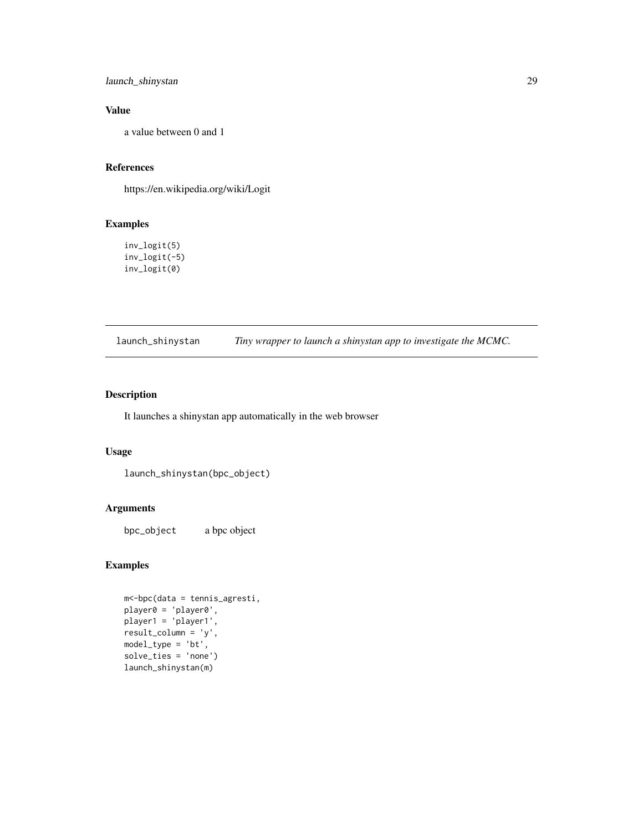<span id="page-28-0"></span>launch\_shinystan 29

# Value

a value between 0 and 1

# References

https://en.wikipedia.org/wiki/Logit

# Examples

inv\_logit(5) inv\_logit(-5) inv\_logit(0)

launch\_shinystan *Tiny wrapper to launch a shinystan app to investigate the MCMC.*

# Description

It launches a shinystan app automatically in the web browser

# Usage

```
launch_shinystan(bpc_object)
```
# Arguments

bpc\_object a bpc object

# Examples

```
m<-bpc(data = tennis_agresti,
player0 = 'player0',
player1 = 'player1',
result_column = 'y',
model_type = 'bt',
solve_ties = 'none')
launch_shinystan(m)
```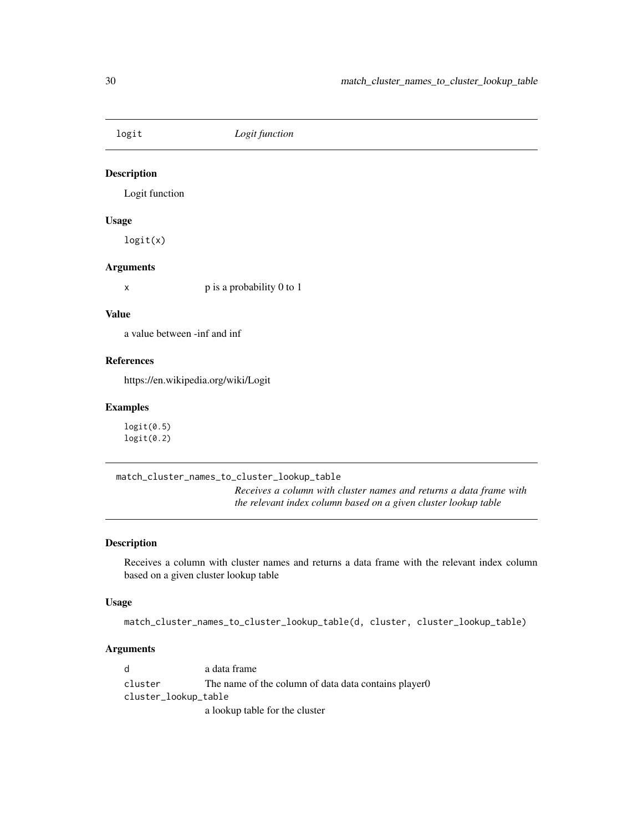<span id="page-29-0"></span>

# Description

Logit function

#### Usage

logit(x)

#### Arguments

x p is a probability 0 to 1

#### Value

a value between -inf and inf

# References

https://en.wikipedia.org/wiki/Logit

#### Examples

logit(0.5)  $logit(0.2)$ 

match\_cluster\_names\_to\_cluster\_lookup\_table

*Receives a column with cluster names and returns a data frame with the relevant index column based on a given cluster lookup table*

# Description

Receives a column with cluster names and returns a data frame with the relevant index column based on a given cluster lookup table

#### Usage

match\_cluster\_names\_to\_cluster\_lookup\_table(d, cluster, cluster\_lookup\_table)

# Arguments

d a data frame cluster The name of the column of data data contains player0 cluster\_lookup\_table a lookup table for the cluster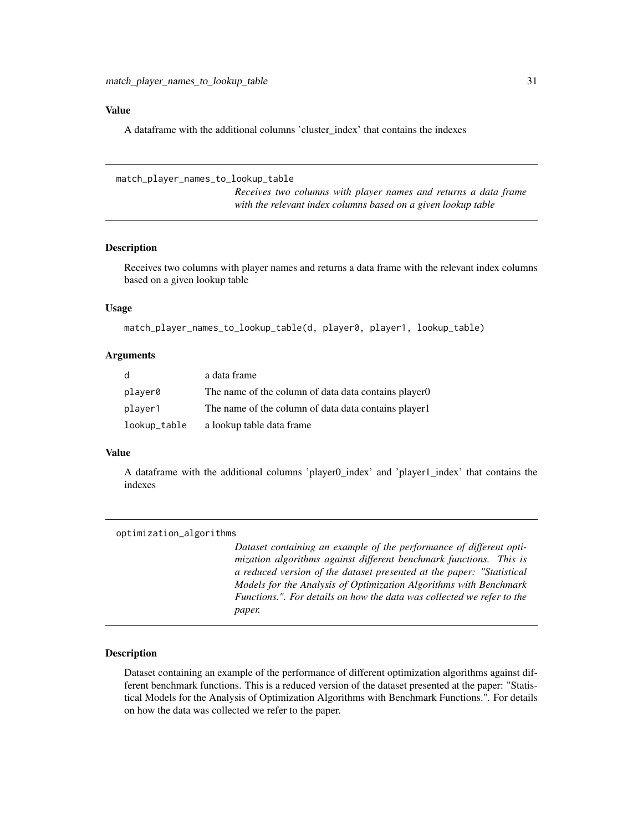#### <span id="page-30-0"></span>Value

A dataframe with the additional columns 'cluster\_index' that contains the indexes

match\_player\_names\_to\_lookup\_table

*Receives two columns with player names and returns a data frame with the relevant index columns based on a given lookup table*

#### Description

Receives two columns with player names and returns a data frame with the relevant index columns based on a given lookup table

#### Usage

```
match_player_names_to_lookup_table(d, player0, player1, lookup_table)
```
#### Arguments

| d            | a data frame                                          |
|--------------|-------------------------------------------------------|
| player0      | The name of the column of data data contains player 0 |
| player1      | The name of the column of data data contains player 1 |
| lookup_table | a lookup table data frame                             |

### Value

A dataframe with the additional columns 'player0\_index' and 'player1\_index' that contains the indexes

| optimization_algorithms |                                                                                                                                                                                                                                                                                                                                                                             |
|-------------------------|-----------------------------------------------------------------------------------------------------------------------------------------------------------------------------------------------------------------------------------------------------------------------------------------------------------------------------------------------------------------------------|
|                         | Dataset containing an example of the performance of different opti-<br>mization algorithms against different benchmark functions. This is<br>a reduced version of the dataset presented at the paper: "Statistical<br>Models for the Analysis of Optimization Algorithms with Benchmark<br>Functions.". For details on how the data was collected we refer to the<br>paper. |
|                         |                                                                                                                                                                                                                                                                                                                                                                             |

# Description

Dataset containing an example of the performance of different optimization algorithms against different benchmark functions. This is a reduced version of the dataset presented at the paper: "Statistical Models for the Analysis of Optimization Algorithms with Benchmark Functions.". For details on how the data was collected we refer to the paper.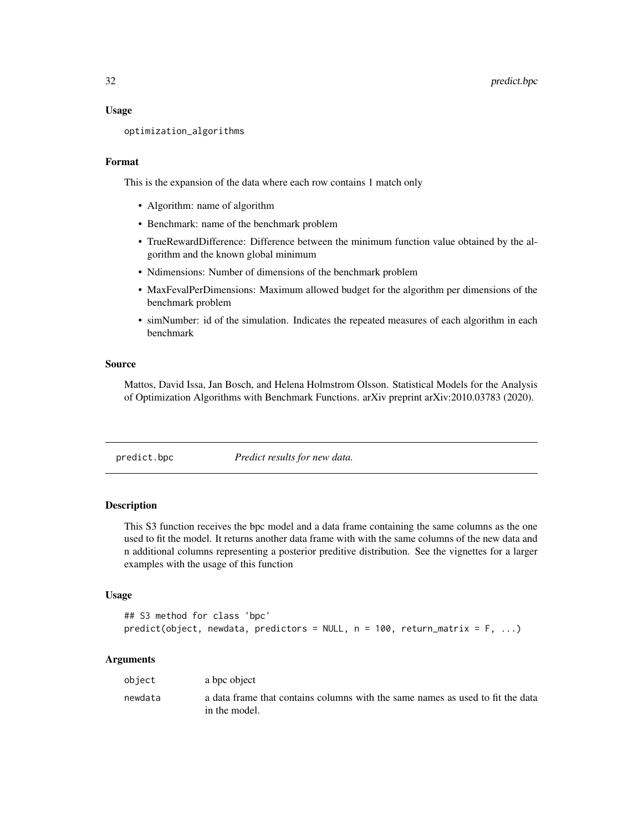#### <span id="page-31-0"></span>Usage

```
optimization_algorithms
```
# Format

This is the expansion of the data where each row contains 1 match only

- Algorithm: name of algorithm
- Benchmark: name of the benchmark problem
- TrueRewardDifference: Difference between the minimum function value obtained by the algorithm and the known global minimum
- Ndimensions: Number of dimensions of the benchmark problem
- MaxFevalPerDimensions: Maximum allowed budget for the algorithm per dimensions of the benchmark problem
- simNumber: id of the simulation. Indicates the repeated measures of each algorithm in each benchmark

#### Source

Mattos, David Issa, Jan Bosch, and Helena Holmstrom Olsson. Statistical Models for the Analysis of Optimization Algorithms with Benchmark Functions. arXiv preprint arXiv:2010.03783 (2020).

predict.bpc *Predict results for new data.*

#### Description

This S3 function receives the bpc model and a data frame containing the same columns as the one used to fit the model. It returns another data frame with with the same columns of the new data and n additional columns representing a posterior preditive distribution. See the vignettes for a larger examples with the usage of this function

#### Usage

```
## S3 method for class 'bpc'
predict(object, newdata, predictors = NULL, n = 100, return_matrix = F, ...)
```
#### Arguments

| obiect  | a bpc object                                                                                    |
|---------|-------------------------------------------------------------------------------------------------|
| newdata | a data frame that contains columns with the same names as used to fit the data<br>in the model. |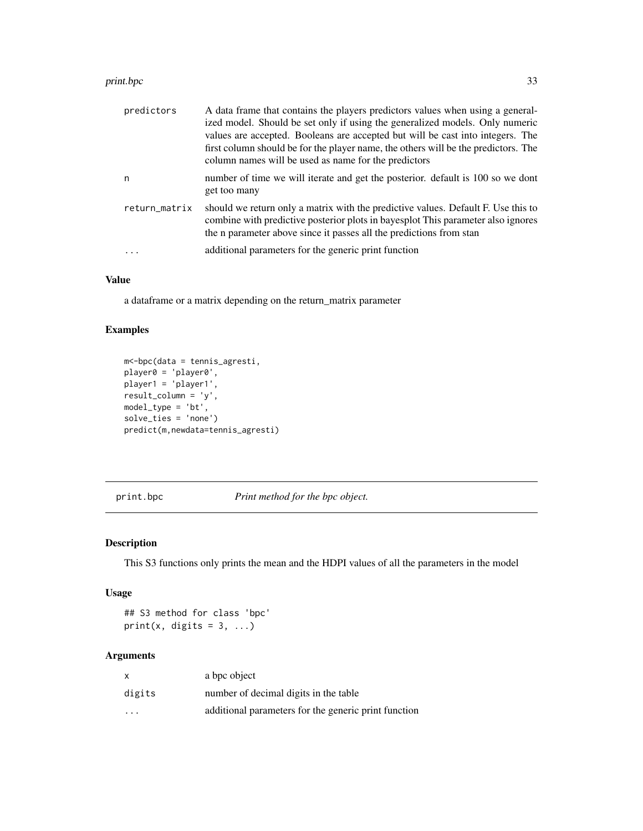#### <span id="page-32-0"></span>print.bpc 33

| predictors    | A data frame that contains the players predictors values when using a general-<br>ized model. Should be set only if using the generalized models. Only numeric<br>values are accepted. Booleans are accepted but will be cast into integers. The<br>first column should be for the player name, the others will be the predictors. The<br>column names will be used as name for the predictors |
|---------------|------------------------------------------------------------------------------------------------------------------------------------------------------------------------------------------------------------------------------------------------------------------------------------------------------------------------------------------------------------------------------------------------|
| n             | number of time we will iterate and get the posterior. default is 100 so we dont<br>get too many                                                                                                                                                                                                                                                                                                |
| return_matrix | should we return only a matrix with the predictive values. Default F. Use this to<br>combine with predictive posterior plots in bayes plot. This parameter also ignores<br>the n parameter above since it passes all the predictions from stan                                                                                                                                                 |
|               | additional parameters for the generic print function                                                                                                                                                                                                                                                                                                                                           |

# Value

a dataframe or a matrix depending on the return\_matrix parameter

# Examples

```
m<-bpc(data = tennis_agresti,
player0 = 'player0',
player1 = 'player1',
result_column = 'y',
model_type = 'bt',
solve_ties = 'none')
predict(m,newdata=tennis_agresti)
```
print.bpc *Print method for the bpc object.*

#### Description

This S3 functions only prints the mean and the HDPI values of all the parameters in the model

#### Usage

## S3 method for class 'bpc' print(x, digits =  $3, ...$ )

# Arguments

| x       | a bpc object                                         |
|---------|------------------------------------------------------|
| digits  | number of decimal digits in the table                |
| $\cdot$ | additional parameters for the generic print function |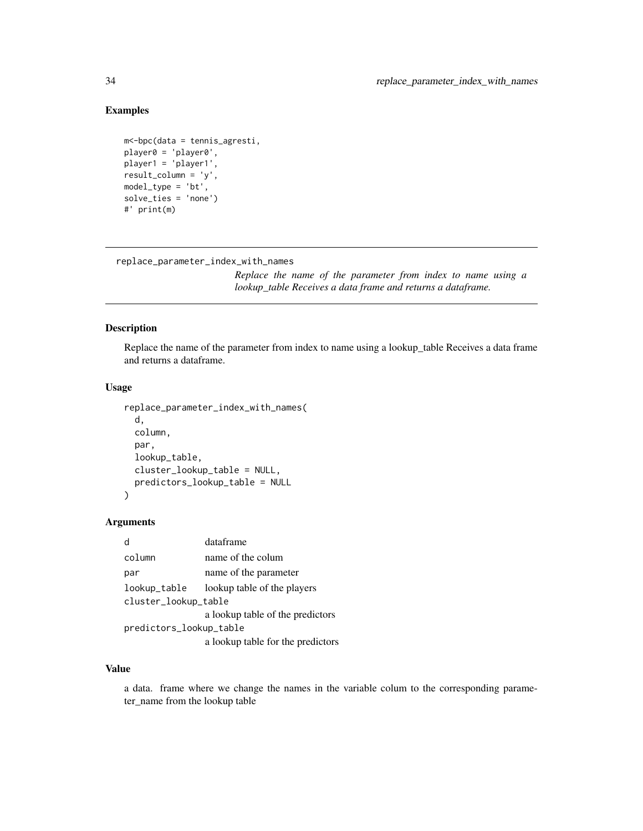# Examples

```
m<-bpc(data = tennis_agresti,
player0 = 'player0',
player1 = 'player1',
result_column = 'y',
model_type = 'bt',
solve_ties = 'none')
#' print(m)
```
replace\_parameter\_index\_with\_names

*Replace the name of the parameter from index to name using a lookup\_table Receives a data frame and returns a dataframe.*

# Description

Replace the name of the parameter from index to name using a lookup\_table Receives a data frame and returns a dataframe.

#### Usage

```
replace_parameter_index_with_names(
 d,
  column,
 par,
  lookup_table,
 cluster_lookup_table = NULL,
 predictors_lookup_table = NULL
)
```
#### Arguments

| d                       | dataframe                         |  |
|-------------------------|-----------------------------------|--|
| column                  | name of the colum                 |  |
| par                     | name of the parameter             |  |
| lookup_table            | lookup table of the players       |  |
| cluster_lookup_table    |                                   |  |
|                         | a lookup table of the predictors  |  |
| predictors_lookup_table |                                   |  |
|                         | a lookup table for the predictors |  |
|                         |                                   |  |

#### Value

a data. frame where we change the names in the variable colum to the corresponding parameter\_name from the lookup table

<span id="page-33-0"></span>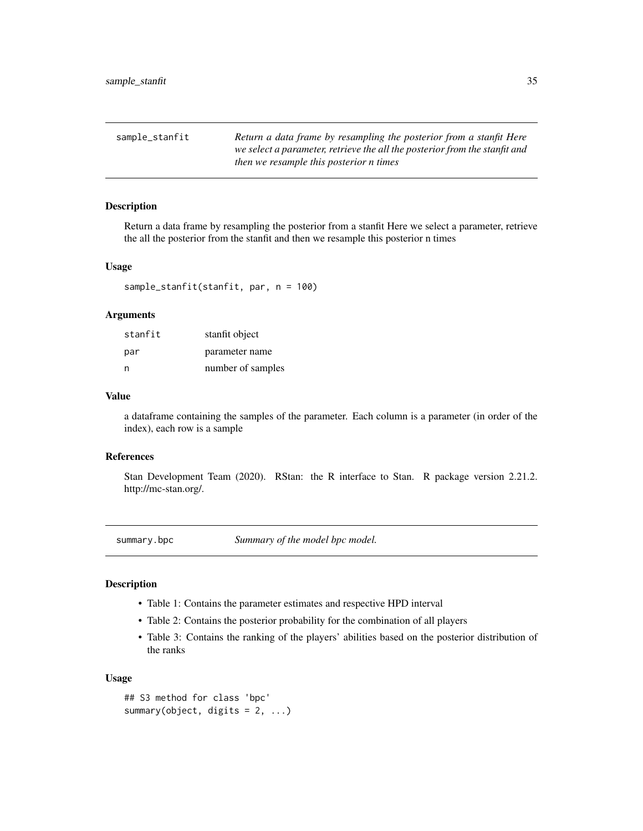<span id="page-34-0"></span>

| sample_stanfit | Return a data frame by resampling the posterior from a stanfit Here<br>we select a parameter, retrieve the all the posterior from the stanfit and |
|----------------|---------------------------------------------------------------------------------------------------------------------------------------------------|
|                | then we resample this posterior n times                                                                                                           |

# Description

Return a data frame by resampling the posterior from a stanfit Here we select a parameter, retrieve the all the posterior from the stanfit and then we resample this posterior n times

#### Usage

sample\_stanfit(stanfit, par, n = 100)

#### **Arguments**

| stanfit | stanfit object    |
|---------|-------------------|
| par     | parameter name    |
| n       | number of samples |

#### Value

a dataframe containing the samples of the parameter. Each column is a parameter (in order of the index), each row is a sample

#### References

Stan Development Team (2020). RStan: the R interface to Stan. R package version 2.21.2. http://mc-stan.org/.

summary.bpc *Summary of the model bpc model.*

# Description

- Table 1: Contains the parameter estimates and respective HPD interval
- Table 2: Contains the posterior probability for the combination of all players
- Table 3: Contains the ranking of the players' abilities based on the posterior distribution of the ranks

#### Usage

```
## S3 method for class 'bpc'
summary(object, digits = 2, ...)
```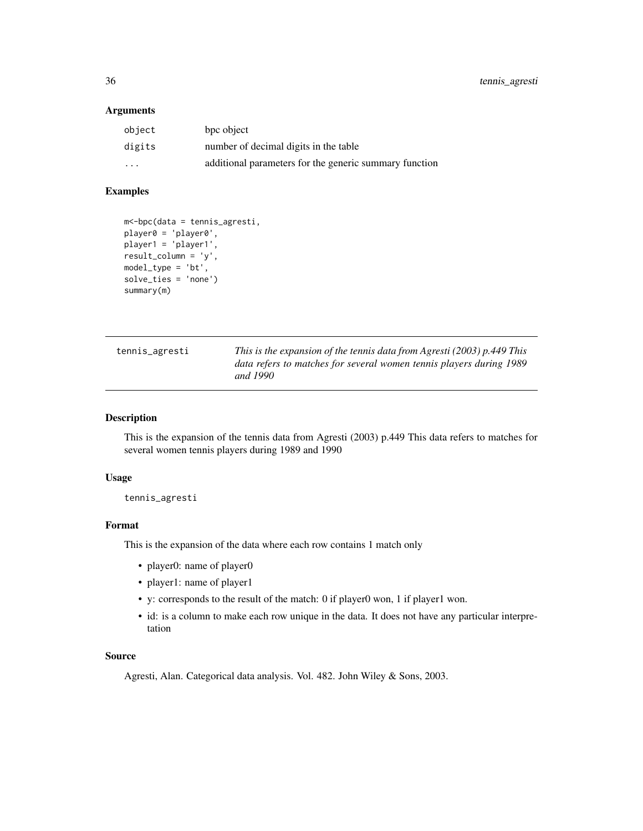#### <span id="page-35-0"></span>Arguments

| object                  | bpc object                                             |
|-------------------------|--------------------------------------------------------|
| digits                  | number of decimal digits in the table                  |
| $\cdot$ $\cdot$ $\cdot$ | additional parameters for the generic summary function |

# Examples

```
m<-bpc(data = tennis_agresti,
player0 = 'player0',
player1 = 'player1',
result_column = 'y',
model_type = 'bt',
solve_ties = 'none')
summary(m)
```

| tennis_agresti | This is the expansion of the tennis data from Agresti (2003) $p.449$ This<br>data refers to matches for several women tennis players during 1989 |
|----------------|--------------------------------------------------------------------------------------------------------------------------------------------------|
|                | and 1990                                                                                                                                         |

#### Description

This is the expansion of the tennis data from Agresti (2003) p.449 This data refers to matches for several women tennis players during 1989 and 1990

#### Usage

tennis\_agresti

# Format

This is the expansion of the data where each row contains 1 match only

- player0: name of player0
- player1: name of player1
- y: corresponds to the result of the match: 0 if player0 won, 1 if player1 won.
- id: is a column to make each row unique in the data. It does not have any particular interpretation

#### Source

Agresti, Alan. Categorical data analysis. Vol. 482. John Wiley & Sons, 2003.